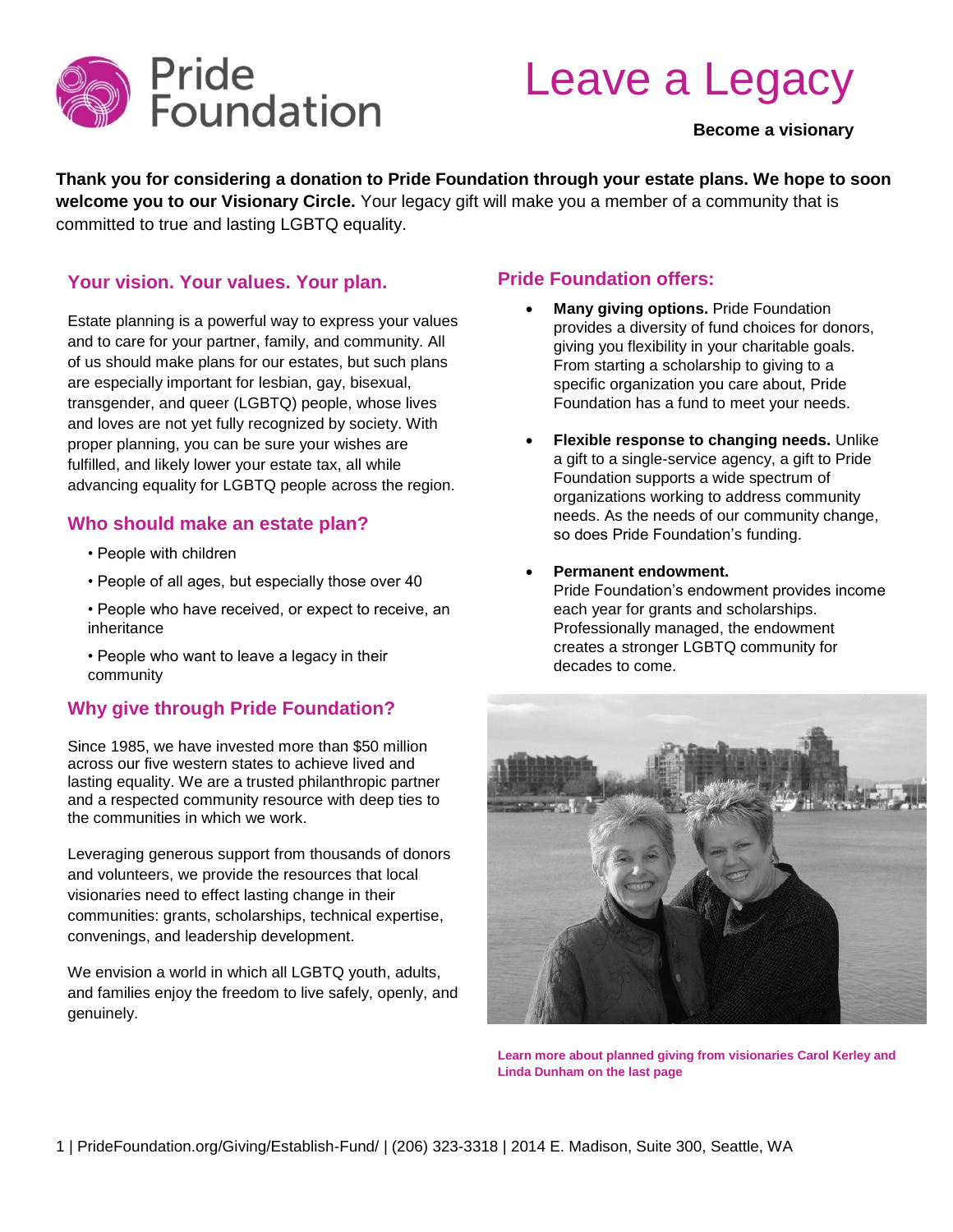

# Leave a Legacy

#### **Become a visionary**

**Thank you for considering a donation to Pride Foundation through your estate plans. We hope to soon welcome you to our Visionary Circle.** Your legacy gift will make you a member of a community that is committed to true and lasting LGBTQ equality.

#### **Your vision. Your values. Your plan.**

Estate planning is a powerful way to express your values and to care for your partner, family, and community. All of us should make plans for our estates, but such plans are especially important for lesbian, gay, bisexual, transgender, and queer (LGBTQ) people, whose lives and loves are not yet fully recognized by society. With proper planning, you can be sure your wishes are fulfilled, and likely lower your estate tax, all while advancing equality for LGBTQ people across the region.

#### **Who should make an estate plan?**

- People with children
- People of all ages, but especially those over 40
- People who have received, or expect to receive, an inheritance
- People who want to leave a legacy in their community

#### **Why give through Pride Foundation?**

Since 1985, we have invested more than \$50 million across our five western states to achieve lived and lasting equality. We are a trusted philanthropic partner and a respected community resource with deep ties to the communities in which we work.

Leveraging generous support from thousands of donors and volunteers, we provide the resources that local visionaries need to effect lasting change in their communities: grants, scholarships, technical expertise, convenings, and leadership development.

We envision a world in which all LGBTQ youth, adults, and families enjoy the freedom to live safely, openly, and genuinely.

#### **Pride Foundation offers:**

- **Many giving options.** Pride Foundation provides a diversity of fund choices for donors, giving you flexibility in your charitable goals. From starting a scholarship to giving to a specific organization you care about, Pride Foundation has a fund to meet your needs.
- **Flexible response to changing needs.** Unlike a gift to a single-service agency, a gift to Pride Foundation supports a wide spectrum of organizations working to address community needs. As the needs of our community change, so does Pride Foundation's funding.
- **Permanent endowment.**  Pride Foundation's endowment provides income each year for grants and scholarships. Professionally managed, the endowment creates a stronger LGBTQ community for decades to come.



**Learn more about planned giving from visionaries Carol Kerley and Linda Dunham on the last page**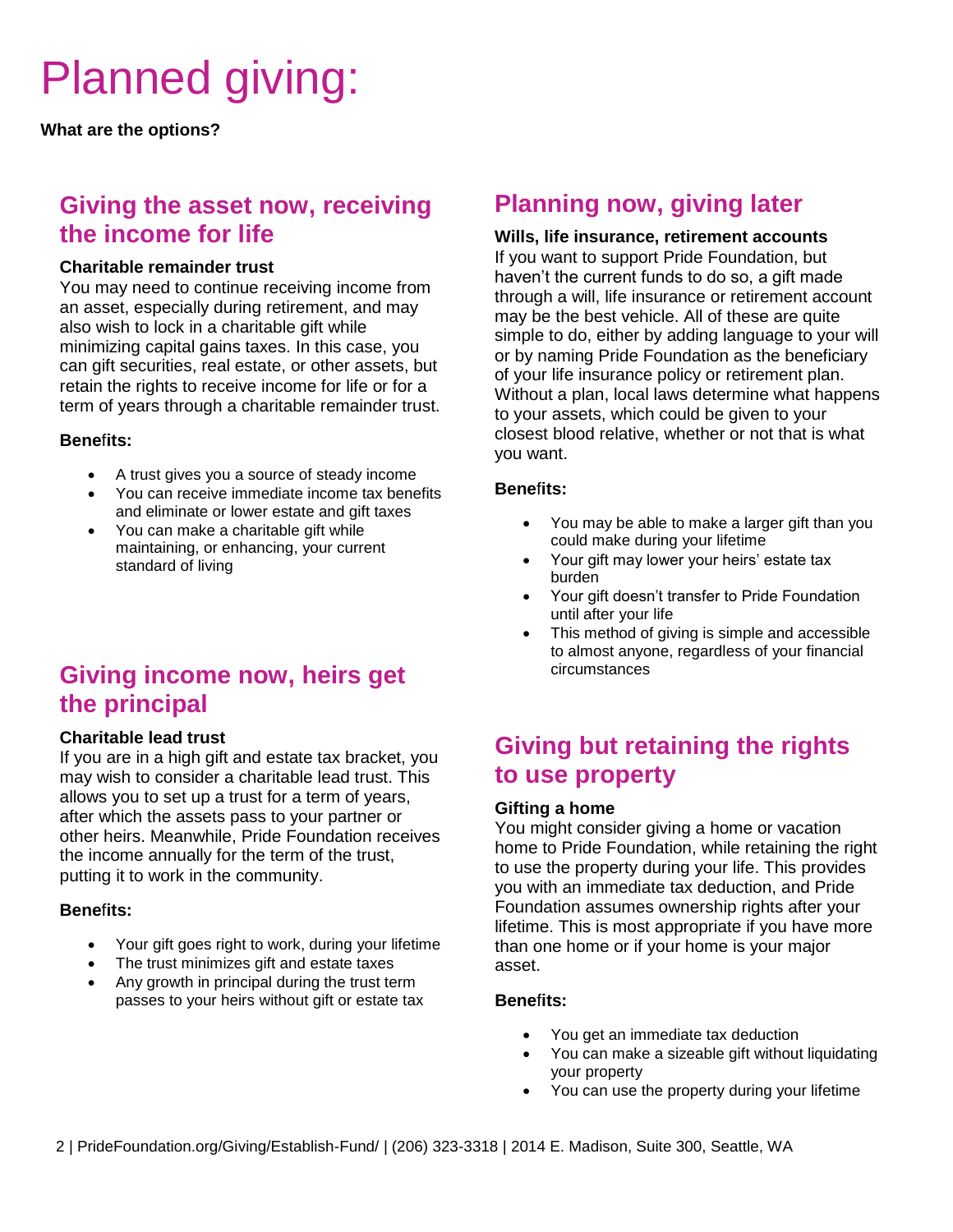# Planned giving:

**What are the options?**

### **Giving the asset now, receiving the income for life**

#### **Charitable remainder trust**

You may need to continue receiving income from an asset, especially during retirement, and may also wish to lock in a charitable gift while minimizing capital gains taxes. In this case, you can gift securities, real estate, or other assets, but retain the rights to receive income for life or for a term of years through a charitable remainder trust.

#### **Bene**f**its:**

- A trust gives you a source of steady income
- You can receive immediate income tax benefits and eliminate or lower estate and gift taxes
- You can make a charitable gift while maintaining, or enhancing, your current standard of living

## **Giving income now, heirs get the principal**

#### **Charitable lead trust**

If you are in a high gift and estate tax bracket, you may wish to consider a charitable lead trust. This allows you to set up a trust for a term of years, after which the assets pass to your partner or other heirs. Meanwhile, Pride Foundation receives the income annually for the term of the trust, putting it to work in the community.

#### **Bene**f**its:**

- Your gift goes right to work, during your lifetime
- The trust minimizes gift and estate taxes
- Any growth in principal during the trust term passes to your heirs without gift or estate tax

### **Planning now, giving later**

#### **Wills, life insurance, retirement accounts**

If you want to support Pride Foundation, but haven't the current funds to do so, a gift made through a will, life insurance or retirement account may be the best vehicle. All of these are quite simple to do, either by adding language to your will or by naming Pride Foundation as the beneficiary of your life insurance policy or retirement plan. Without a plan, local laws determine what happens to your assets, which could be given to your closest blood relative, whether or not that is what you want.

#### **Bene**f**its:**

- You may be able to make a larger gift than you could make during your lifetime
- Your gift may lower your heirs' estate tax burden
- Your gift doesn't transfer to Pride Foundation until after your life
- This method of giving is simple and accessible to almost anyone, regardless of your financial circumstances

## **Giving but retaining the rights to use property**

#### **Gifting a home**

You might consider giving a home or vacation home to Pride Foundation, while retaining the right to use the property during your life. This provides you with an immediate tax deduction, and Pride Foundation assumes ownership rights after your lifetime. This is most appropriate if you have more than one home or if your home is your major asset.

#### **Bene**f**its:**

- You get an immediate tax deduction
- You can make a sizeable gift without liquidating your property
- You can use the property during your lifetime